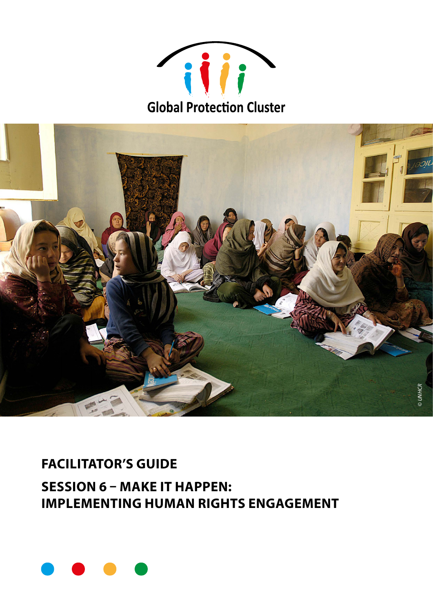



## **FACILITATOR'S GUIDE**

**SESSION 6 - MAKE IT HAPPEN: IMPLEMENTING HUMAN RIGHTS ENGAGEMENT** 

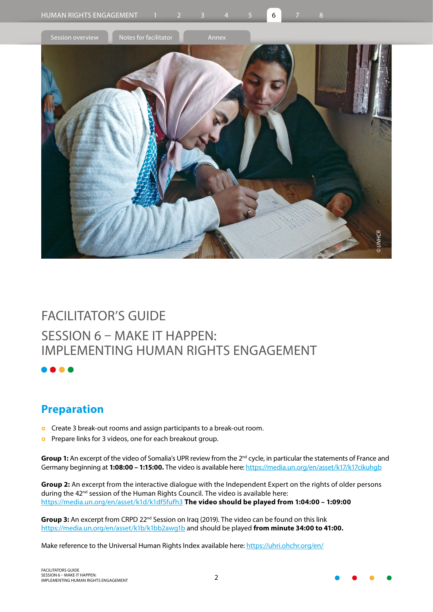

## FACILITATOR'S GUIDE SESSION 6 – MAKE IT HAPPEN: IMPLEMENTING HUMAN RIGHTS ENGAGEMENT

## **Preparation**

- **o** Create 3 break-out rooms and assign participants to a break-out room.
- **o** Prepare links for 3 videos, one for each breakout group.

**Group 1:** An excerpt of the video of Somalia's UPR review from the 2<sup>nd</sup> cycle, in particular the statements of France and Germany beginning at **1:08:00 – 1:15:00.** The video is available here:<https://media.un.org/en/asset/k17/k17cikuhgb>

**Group 2:** An excerpt from the interactive dialogue with the Independent Expert on the rights of older persons during the 42<sup>nd</sup> session of the Human Rights Council. The video is available here: <https://media.un.org/en/asset/k1d/k1df5fufh3> **The video should be played from 1:04:00 – 1:09:00**

**Group 3:** An excerpt from CRPD 22<sup>nd</sup> Session on Iraq (2019). The video can be found on this link [https://media.un.org/en/asset/k1b/k1bb2awg1b](https://eur02.safelinks.protection.outlook.com/?url=https%3A%2F%2Fmedia.un.org%2Fen%2Fasset%2Fk1b%2Fk1bb2awg1b&data=04%7C01%7Cabdelhad%40unhcr.org%7C49d7b0a0207244a332ba08d9a827d559%7Ce5c37981666441348a0c6543d2af80be%7C0%7C0%7C637725711295612432%7CUnknown%7CTWFpbGZsb3d8eyJWIjoiMC4wLjAwMDAiLCJQIjoiV2luMzIiLCJBTiI6Ik1haWwiLCJXVCI6Mn0%3D%7C3000&sdata=M58eLh6imA7FbrOOR43dfVlJQNm6sEsoDDhJwsU5LuY%3D&reserved=0) and should be played **from minute 34:00 to 41:00.**

Make reference to the Universal Human Rights Index available here: <https://uhri.ohchr.org/en/>

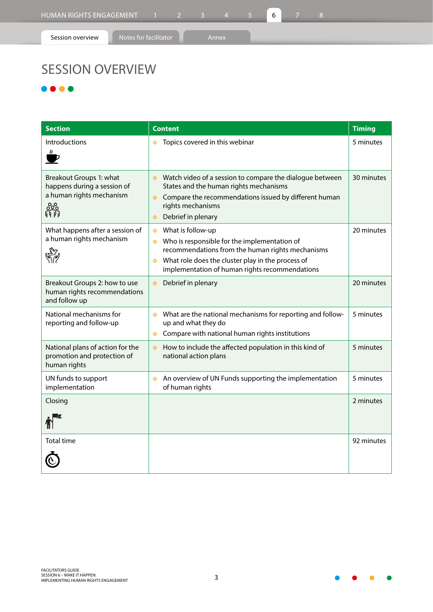## SESSION OVERVIEW

 $\bullet\bullet\bullet$ 

| <b>Section</b>                                                                                 | <b>Content</b>                                                                                                                                                                                                                                                      | <b>Timing</b> |
|------------------------------------------------------------------------------------------------|---------------------------------------------------------------------------------------------------------------------------------------------------------------------------------------------------------------------------------------------------------------------|---------------|
| Introductions<br>U.                                                                            | Topics covered in this webinar<br>$\bullet$                                                                                                                                                                                                                         | 5 minutes     |
| Breakout Groups 1: what<br>happens during a session of<br>a human rights mechanism<br>ಹಿಂ<br>的 | Watch video of a session to compare the dialogue between<br>$\bullet$<br>States and the human rights mechanisms<br>Compare the recommendations issued by different human<br>$\bullet$<br>rights mechanisms<br>Debrief in plenary<br>$\bullet$                       | 30 minutes    |
| What happens after a session of<br>a human rights mechanism                                    | What is follow-up<br>$\bullet$<br>Who is responsible for the implementation of<br>$\bullet$<br>recommendations from the human rights mechanisms<br>What role does the cluster play in the process of<br>$\bullet$<br>implementation of human rights recommendations | 20 minutes    |
| Breakout Groups 2: how to use<br>human rights recommendations<br>and follow up                 | Debrief in plenary<br>$\bullet$                                                                                                                                                                                                                                     | 20 minutes    |
| National mechanisms for<br>reporting and follow-up                                             | What are the national mechanisms for reporting and follow-<br>$\bullet$<br>up and what they do<br>Compare with national human rights institutions<br>$\bullet$                                                                                                      | 5 minutes     |
| National plans of action for the<br>promotion and protection of<br>human rights                | How to include the affected population in this kind of<br>$\bullet$<br>national action plans                                                                                                                                                                        | 5 minutes     |
| UN funds to support<br>implementation                                                          | An overview of UN Funds supporting the implementation<br>$\bullet$<br>of human rights                                                                                                                                                                               | 5 minutes     |
| Closing                                                                                        |                                                                                                                                                                                                                                                                     | 2 minutes     |
| <b>Total time</b>                                                                              |                                                                                                                                                                                                                                                                     | 92 minutes    |

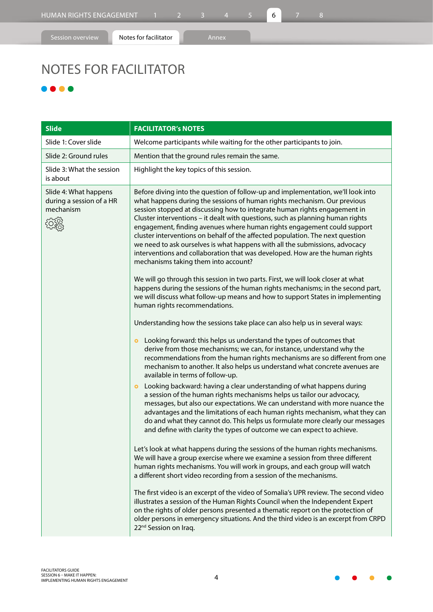# NOTES FOR FACILITATOR

### ...

| <b>Slide</b>                                                   | <b>FACILITATOR's NOTES</b>                                                                                                                                                                                                                                                                                                                                                                                                                                                                                                                                                                                                                                                                                                                                                                                                                                                                                                                                                                                                                                                                                                                                                                                                                                                                                                                                                                          |
|----------------------------------------------------------------|-----------------------------------------------------------------------------------------------------------------------------------------------------------------------------------------------------------------------------------------------------------------------------------------------------------------------------------------------------------------------------------------------------------------------------------------------------------------------------------------------------------------------------------------------------------------------------------------------------------------------------------------------------------------------------------------------------------------------------------------------------------------------------------------------------------------------------------------------------------------------------------------------------------------------------------------------------------------------------------------------------------------------------------------------------------------------------------------------------------------------------------------------------------------------------------------------------------------------------------------------------------------------------------------------------------------------------------------------------------------------------------------------------|
| Slide 1: Cover slide                                           | Welcome participants while waiting for the other participants to join.                                                                                                                                                                                                                                                                                                                                                                                                                                                                                                                                                                                                                                                                                                                                                                                                                                                                                                                                                                                                                                                                                                                                                                                                                                                                                                                              |
| Slide 2: Ground rules                                          | Mention that the ground rules remain the same.                                                                                                                                                                                                                                                                                                                                                                                                                                                                                                                                                                                                                                                                                                                                                                                                                                                                                                                                                                                                                                                                                                                                                                                                                                                                                                                                                      |
| Slide 3: What the session<br>is about                          | Highlight the key topics of this session.                                                                                                                                                                                                                                                                                                                                                                                                                                                                                                                                                                                                                                                                                                                                                                                                                                                                                                                                                                                                                                                                                                                                                                                                                                                                                                                                                           |
| Slide 4: What happens<br>during a session of a HR<br>mechanism | Before diving into the question of follow-up and implementation, we'll look into<br>what happens during the sessions of human rights mechanism. Our previous<br>session stopped at discussing how to integrate human rights engagement in<br>Cluster interventions - it dealt with questions, such as planning human rights<br>engagement, finding avenues where human rights engagement could support<br>cluster interventions on behalf of the affected population. The next question<br>we need to ask ourselves is what happens with all the submissions, advocacy<br>interventions and collaboration that was developed. How are the human rights<br>mechanisms taking them into account?<br>We will go through this session in two parts. First, we will look closer at what<br>happens during the sessions of the human rights mechanisms; in the second part,<br>we will discuss what follow-up means and how to support States in implementing<br>human rights recommendations.<br>Understanding how the sessions take place can also help us in several ways:<br>Looking forward: this helps us understand the types of outcomes that<br>$\bullet$<br>derive from those mechanisms; we can, for instance, understand why the<br>recommendations from the human rights mechanisms are so different from one<br>mechanism to another. It also helps us understand what concrete avenues are |
|                                                                | available in terms of follow-up.<br>Looking backward: having a clear understanding of what happens during<br>$\bullet$<br>a session of the human rights mechanisms helps us tailor our advocacy,<br>messages, but also our expectations. We can understand with more nuance the<br>advantages and the limitations of each human rights mechanism, what they can<br>do and what they cannot do. This helps us formulate more clearly our messages<br>and define with clarity the types of outcome we can expect to achieve.<br>Let's look at what happens during the sessions of the human rights mechanisms.<br>We will have a group exercise where we examine a session from three different<br>human rights mechanisms. You will work in groups, and each group will watch<br>a different short video recording from a session of the mechanisms.<br>The first video is an excerpt of the video of Somalia's UPR review. The second video<br>illustrates a session of the Human Rights Council when the Independent Expert<br>on the rights of older persons presented a thematic report on the protection of<br>older persons in emergency situations. And the third video is an excerpt from CRPD<br>22 <sup>nd</sup> Session on Iraq.                                                                                                                                                          |

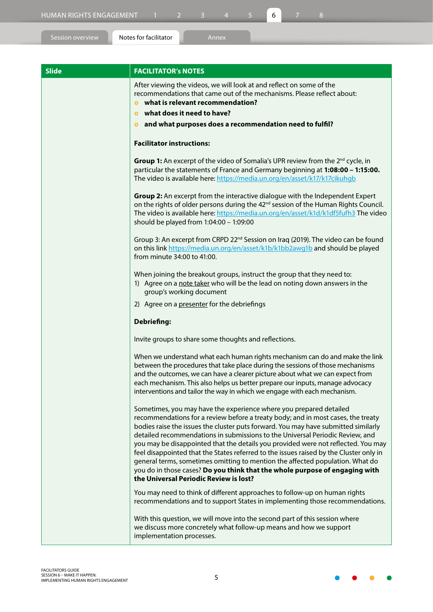**Slide FACILITATOR's NOTES** After viewing the videos, we will look at and reflect on some of the recommendations that came out of the mechanisms. Please reflect about: } **what is relevant recommendation?**  } **what does it need to have?**  } **and what purposes does a recommendation need to fulfil? Facilitator instructions: Group 1:** An excerpt of the video of Somalia's UPR review from the 2<sup>nd</sup> cycle, in particular the statements of France and Germany beginning at **1:08:00 – 1:15:00.** The video is available here:<https://media.un.org/en/asset/k17/k17cikuhgb> **Group 2:** An excerpt from the interactive dialogue with the Independent Expert on the rights of older persons during the 42<sup>nd</sup> session of the Human Rights Council. The video is available here:<https://media.un.org/en/asset/k1d/k1df5fufh3>The video should be played from 1:04:00 – 1:09:00 Group 3: An excerpt from CRPD 22<sup>nd</sup> Session on Iraq (2019). The video can be found on this link [https://media.un.org/en/asset/k1b/k1bb2awg1b](https://eur02.safelinks.protection.outlook.com/?url=https%3A%2F%2Fmedia.un.org%2Fen%2Fasset%2Fk1b%2Fk1bb2awg1b&data=04%7C01%7Cabdelhad%40unhcr.org%7C49d7b0a0207244a332ba08d9a827d559%7Ce5c37981666441348a0c6543d2af80be%7C0%7C0%7C637725711295612432%7CUnknown%7CTWFpbGZsb3d8eyJWIjoiMC4wLjAwMDAiLCJQIjoiV2luMzIiLCJBTiI6Ik1haWwiLCJXVCI6Mn0%3D%7C3000&sdata=M58eLh6imA7FbrOOR43dfVlJQNm6sEsoDDhJwsU5LuY%3D&reserved=0) and should be played from minute 34:00 to 41:00. When joining the breakout groups, instruct the group that they need to: 1) Agree on a note taker who will be the lead on noting down answers in the group's working document 2) Agree on a presenter for the debriefings **Debriefing:** Invite groups to share some thoughts and reflections. When we understand what each human rights mechanism can do and make the link between the procedures that take place during the sessions of those mechanisms and the outcomes, we can have a clearer picture about what we can expect from each mechanism. This also helps us better prepare our inputs, manage advocacy interventions and tailor the way in which we engage with each mechanism. Sometimes, you may have the experience where you prepared detailed recommendations for a review before a treaty body; and in most cases, the treaty bodies raise the issues the cluster puts forward. You may have submitted similarly detailed recommendations in submissions to the Universal Periodic Review, and you may be disappointed that the details you provided were not reflected. You may feel disappointed that the States referred to the issues raised by the Cluster only in general terms, sometimes omitting to mention the affected population. What do you do in those cases? **Do you think that the whole purpose of engaging with the Universal Periodic Review is lost?** You may need to think of different approaches to follow-up on human rights recommendations and to support States in implementing those recommendations. With this question, we will move into the second part of this session where we discuss more concretely what follow-up means and how we support implementation processes.

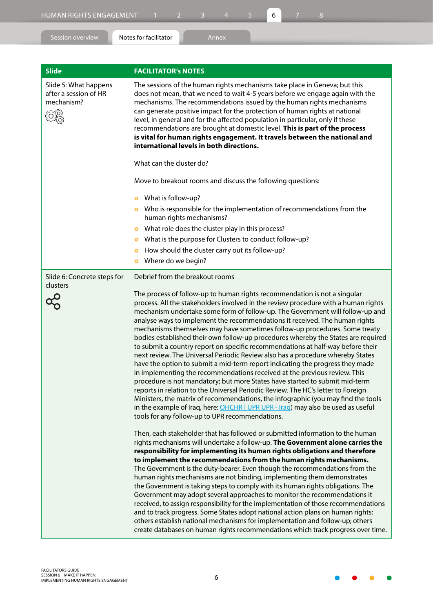| <b>Slide</b>                                                 | <b>FACILITATOR's NOTES</b>                                                                                                                                                                                                                                                                                                                                                                                                                                                                                                                                                                                                                                                                                                                                                                                                                                                                                                                                                                                                                                                                                                                                                                                                                                                                                                                                                                                                                                                                                                                                                                                                                  |
|--------------------------------------------------------------|---------------------------------------------------------------------------------------------------------------------------------------------------------------------------------------------------------------------------------------------------------------------------------------------------------------------------------------------------------------------------------------------------------------------------------------------------------------------------------------------------------------------------------------------------------------------------------------------------------------------------------------------------------------------------------------------------------------------------------------------------------------------------------------------------------------------------------------------------------------------------------------------------------------------------------------------------------------------------------------------------------------------------------------------------------------------------------------------------------------------------------------------------------------------------------------------------------------------------------------------------------------------------------------------------------------------------------------------------------------------------------------------------------------------------------------------------------------------------------------------------------------------------------------------------------------------------------------------------------------------------------------------|
| Slide 5: What happens<br>after a session of HR<br>mechanism? | The sessions of the human rights mechanisms take place in Geneva; but this<br>does not mean, that we need to wait 4-5 years before we engage again with the<br>mechanisms. The recommendations issued by the human rights mechanisms<br>can generate positive impact for the protection of human rights at national<br>level, in general and for the affected population in particular, only if these<br>recommendations are brought at domestic level. This is part of the process<br>is vital for human rights engagement. It travels between the national and<br>international levels in both directions.<br>What can the cluster do?                                                                                                                                                                                                                                                                                                                                                                                                                                                                                                                                                                                                                                                                                                                                                                                                                                                                                                                                                                                                    |
|                                                              | Move to breakout rooms and discuss the following questions:                                                                                                                                                                                                                                                                                                                                                                                                                                                                                                                                                                                                                                                                                                                                                                                                                                                                                                                                                                                                                                                                                                                                                                                                                                                                                                                                                                                                                                                                                                                                                                                 |
|                                                              | What is follow-up?<br>$\bullet$                                                                                                                                                                                                                                                                                                                                                                                                                                                                                                                                                                                                                                                                                                                                                                                                                                                                                                                                                                                                                                                                                                                                                                                                                                                                                                                                                                                                                                                                                                                                                                                                             |
|                                                              | Who is responsible for the implementation of recommendations from the<br>$\bullet$<br>human rights mechanisms?                                                                                                                                                                                                                                                                                                                                                                                                                                                                                                                                                                                                                                                                                                                                                                                                                                                                                                                                                                                                                                                                                                                                                                                                                                                                                                                                                                                                                                                                                                                              |
|                                                              | What role does the cluster play in this process?<br>$\bullet$                                                                                                                                                                                                                                                                                                                                                                                                                                                                                                                                                                                                                                                                                                                                                                                                                                                                                                                                                                                                                                                                                                                                                                                                                                                                                                                                                                                                                                                                                                                                                                               |
|                                                              | What is the purpose for Clusters to conduct follow-up?<br>$\bullet$                                                                                                                                                                                                                                                                                                                                                                                                                                                                                                                                                                                                                                                                                                                                                                                                                                                                                                                                                                                                                                                                                                                                                                                                                                                                                                                                                                                                                                                                                                                                                                         |
|                                                              | How should the cluster carry out its follow-up?<br>$\bullet$                                                                                                                                                                                                                                                                                                                                                                                                                                                                                                                                                                                                                                                                                                                                                                                                                                                                                                                                                                                                                                                                                                                                                                                                                                                                                                                                                                                                                                                                                                                                                                                |
|                                                              | Where do we begin?<br>$\bullet$                                                                                                                                                                                                                                                                                                                                                                                                                                                                                                                                                                                                                                                                                                                                                                                                                                                                                                                                                                                                                                                                                                                                                                                                                                                                                                                                                                                                                                                                                                                                                                                                             |
| Slide 6: Concrete steps for<br>clusters                      | Debrief from the breakout rooms                                                                                                                                                                                                                                                                                                                                                                                                                                                                                                                                                                                                                                                                                                                                                                                                                                                                                                                                                                                                                                                                                                                                                                                                                                                                                                                                                                                                                                                                                                                                                                                                             |
|                                                              | The process of follow-up to human rights recommendation is not a singular<br>process. All the stakeholders involved in the review procedure with a human rights<br>mechanism undertake some form of follow-up. The Government will follow-up and<br>analyse ways to implement the recommendations it received. The human rights<br>mechanisms themselves may have sometimes follow-up procedures. Some treaty<br>bodies established their own follow-up procedures whereby the States are required<br>to submit a country report on specific recommendations at half-way before their<br>next review. The Universal Periodic Review also has a procedure whereby States<br>have the option to submit a mid-term report indicating the progress they made<br>in implementing the recommendations received at the previous review. This<br>procedure is not mandatory; but more States have started to submit mid-term<br>reports in relation to the Universal Periodic Review. The HC's letter to Foreign<br>Ministers, the matrix of recommendations, the infographic (you may find the tools<br>in the example of Iraq, here: OHCHR   UPR UPR - Iraq) may also be used as useful<br>tools for any follow-up to UPR recommendations.<br>Then, each stakeholder that has followed or submitted information to the human<br>rights mechanisms will undertake a follow-up. The Government alone carries the<br>responsibility for implementing its human rights obligations and therefore<br>to implement the recommendations from the human rights mechanisms.<br>The Government is the duty-bearer. Even though the recommendations from the |
|                                                              | human rights mechanisms are not binding, implementing them demonstrates<br>the Government is taking steps to comply with its human rights obligations. The<br>Government may adopt several approaches to monitor the recommendations it<br>received, to assign responsibility for the implementation of those recommendations<br>and to track progress. Some States adopt national action plans on human rights;<br>others establish national mechanisms for implementation and follow-up; others<br>create databases on human rights recommendations which track progress over time.                                                                                                                                                                                                                                                                                                                                                                                                                                                                                                                                                                                                                                                                                                                                                                                                                                                                                                                                                                                                                                                       |
|                                                              |                                                                                                                                                                                                                                                                                                                                                                                                                                                                                                                                                                                                                                                                                                                                                                                                                                                                                                                                                                                                                                                                                                                                                                                                                                                                                                                                                                                                                                                                                                                                                                                                                                             |

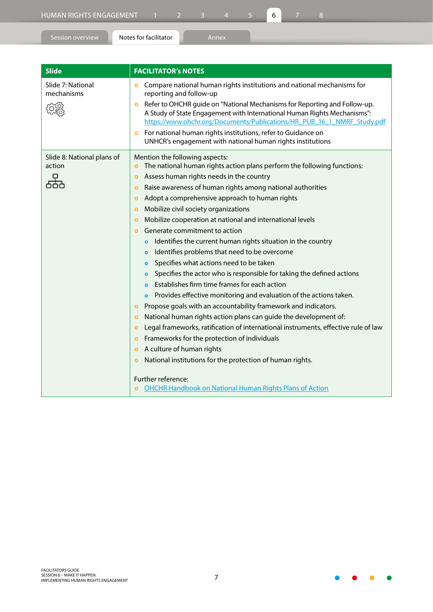| Session overview | Notes for facilitator      | Annex |  |  |
|------------------|----------------------------|-------|--|--|
|                  |                            |       |  |  |
| <b>Slide</b>     | <b>FACILITATOR's NOTES</b> |       |  |  |

| Slide 7: National<br>mechanisms      | Compare national human rights institutions and national mechanisms for<br>$\bullet$<br>reporting and follow-up<br>Refer to OHCHR guide on "National Mechanisms for Reporting and Follow-up.<br>$\bullet$<br>A Study of State Engagement with International Human Rights Mechanisms":<br>https://www.ohchr.org/Documents/Publications/HR_PUB_16_1_NMRF_Study.pdf<br>For national human rights institutions, refer to Guidance on<br>$\bullet$<br>UNHCR's engagement with national human rights institutions                                                                                                                                                                                                                                                                                                                                                                                                                                                                                                                                                                                                                                                                                                                                                                                                                                                                                                                                                                                              |
|--------------------------------------|---------------------------------------------------------------------------------------------------------------------------------------------------------------------------------------------------------------------------------------------------------------------------------------------------------------------------------------------------------------------------------------------------------------------------------------------------------------------------------------------------------------------------------------------------------------------------------------------------------------------------------------------------------------------------------------------------------------------------------------------------------------------------------------------------------------------------------------------------------------------------------------------------------------------------------------------------------------------------------------------------------------------------------------------------------------------------------------------------------------------------------------------------------------------------------------------------------------------------------------------------------------------------------------------------------------------------------------------------------------------------------------------------------------------------------------------------------------------------------------------------------|
| Slide 8: National plans of<br>action | Mention the following aspects:<br>The national human rights action plans perform the following functions:<br>$\bullet$<br>Assess human rights needs in the country<br>$\bullet$<br>Raise awareness of human rights among national authorities<br>$\bullet$<br>Adopt a comprehensive approach to human rights<br>$\bullet$<br>Mobilize civil society organizations<br>$\bullet$<br>Mobilize cooperation at national and international levels<br>$\bullet$<br>Generate commitment to action<br>$\bullet$<br>Identifies the current human rights situation in the country<br>$\bullet$<br>Identifies problems that need to be overcome<br>$\bullet$<br>Specifies what actions need to be taken<br>$\bullet$<br>Specifies the actor who is responsible for taking the defined actions<br>$\bullet$<br>Establishes firm time frames for each action<br>$\bullet$<br>Provides effective monitoring and evaluation of the actions taken.<br>$\bullet$<br>Propose goals with an accountability framework and indicators.<br>$\bullet$<br>National human rights action plans can guide the development of:<br>$\bullet$<br>Legal frameworks, ratification of international instruments, effective rule of law<br>$\bullet$<br>Frameworks for the protection of individuals<br>$\bullet$<br>A culture of human rights<br>$\bullet$<br>National institutions for the protection of human rights.<br>$\bullet$<br>Further reference:<br><b>OHCHR Handbook on National Human Rights Plans of Action</b><br>$\bullet$ |

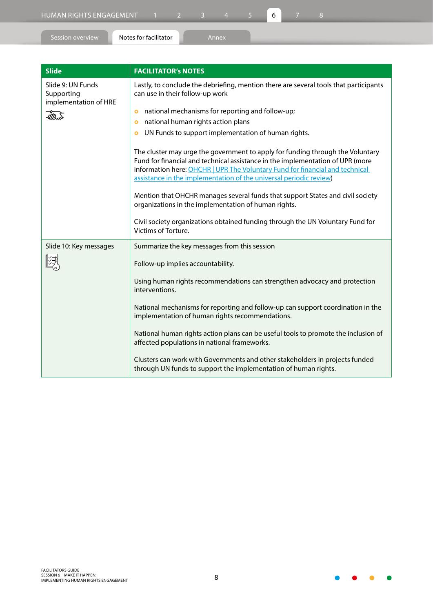Session overview **Notes for facilitator Annex** 

| <b>Slide</b>                                             | <b>FACILITATOR'S NOTES</b>                                                                                               |
|----------------------------------------------------------|--------------------------------------------------------------------------------------------------------------------------|
| Slide 9: UN Funds<br>Supporting<br>implementation of HRE | Lastly, to conclude the debriefing, mention there are several tools that participants<br>can use in their follow-up work |
| $\sqrt{4n}$                                              | national mechanisms for reporting and follow-up;<br>national human rights action plans                                   |

• UN Funds to support implementation of human rights.

|                        | The cluster may urge the government to apply for funding through the Voluntary<br>Fund for financial and technical assistance in the implementation of UPR (more<br>information here: OHCHR   UPR The Voluntary Fund for financial and technical<br>assistance in the implementation of the universal periodic review) |
|------------------------|------------------------------------------------------------------------------------------------------------------------------------------------------------------------------------------------------------------------------------------------------------------------------------------------------------------------|
|                        | Mention that OHCHR manages several funds that support States and civil society<br>organizations in the implementation of human rights.                                                                                                                                                                                 |
|                        | Civil society organizations obtained funding through the UN Voluntary Fund for<br>Victims of Torture.                                                                                                                                                                                                                  |
| Slide 10: Key messages | Summarize the key messages from this session                                                                                                                                                                                                                                                                           |
|                        | Follow-up implies accountability.                                                                                                                                                                                                                                                                                      |
|                        | Using human rights recommendations can strengthen advocacy and protection<br>interventions.                                                                                                                                                                                                                            |
|                        | National mechanisms for reporting and follow-up can support coordination in the<br>implementation of human rights recommendations.                                                                                                                                                                                     |
|                        | National human rights action plans can be useful tools to promote the inclusion of<br>affected populations in national frameworks.                                                                                                                                                                                     |
|                        | Clusters can work with Governments and other stakeholders in projects funded<br>through UN funds to support the implementation of human rights.                                                                                                                                                                        |

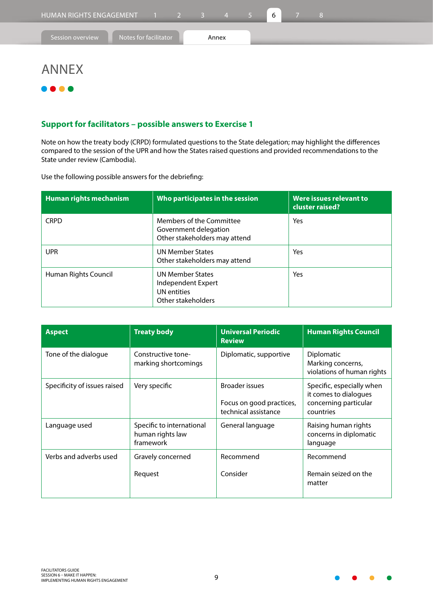## ANNEX

## $\bullet$

### **Support for facilitators – possible answers to Exercise 1**

Note on how the treaty body (CRPD) formulated questions to the State delegation; may highlight the differences compared to the session of the UPR and how the States raised questions and provided recommendations to the State under review (Cambodia).

Use the following possible answers for the debriefing:

| Human rights mechanism | Who participates in the session                                                           | Were issues relevant to<br>cluster raised? |
|------------------------|-------------------------------------------------------------------------------------------|--------------------------------------------|
| <b>CRPD</b>            | Members of the Committee<br>Government delegation<br>Other stakeholders may attend        | Yes                                        |
| <b>UPR</b>             | <b>UN Member States</b><br>Other stakeholders may attend                                  | Yes                                        |
| Human Rights Council   | <b>UN Member States</b><br>Independent Expert<br><b>UN</b> entities<br>Other stakeholders | Yes                                        |

| Aspect                       | <b>Treaty body</b>                                         | <b>Universal Periodic</b><br><b>Review</b>                                | <b>Human Rights Council</b>                                                              |
|------------------------------|------------------------------------------------------------|---------------------------------------------------------------------------|------------------------------------------------------------------------------------------|
| Tone of the dialogue         | Constructive tone-<br>marking shortcomings                 | Diplomatic, supportive                                                    | Diplomatic<br>Marking concerns,<br>violations of human rights                            |
| Specificity of issues raised | Very specific                                              | <b>Broader issues</b><br>Focus on good practices,<br>technical assistance | Specific, especially when<br>it comes to dialogues<br>concerning particular<br>countries |
| Language used                | Specific to international<br>human rights law<br>framework | General language                                                          | Raising human rights<br>concerns in diplomatic<br>language                               |
| Verbs and adverbs used       | Gravely concerned                                          | Recommend                                                                 | Recommend                                                                                |
|                              | Request                                                    | Consider                                                                  | Remain seized on the<br>matter                                                           |

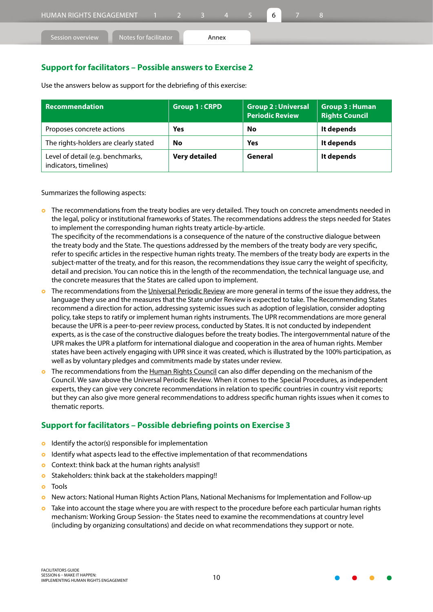| HUMAN RIGHTS ENGAGEMENT 1 2 3 4 |                       |  |       |  |  |  |  |
|---------------------------------|-----------------------|--|-------|--|--|--|--|
| Session overview                | Notes for facilitator |  | Annex |  |  |  |  |

### **Support for facilitators – Possible answers to Exercise 2**

| Recommendation                                              | <b>Group 1: CRPD</b> | <b>Group 2: Universal</b><br><b>Periodic Review</b> | <b>Group 3: Human</b><br><b>Rights Council</b> |
|-------------------------------------------------------------|----------------------|-----------------------------------------------------|------------------------------------------------|
| Proposes concrete actions                                   | <b>Yes</b>           | No                                                  | It depends                                     |
| The rights-holders are clearly stated                       | No                   | Yes                                                 | It depends                                     |
| Level of detail (e.g. benchmarks,<br>indicators, timelines) | Very detailed        | General                                             | It depends                                     |

Use the answers below as support for the debriefing of this exercise:

Summarizes the following aspects:

**•** The recommendations from the treaty bodies are very detailed. They touch on concrete amendments needed in the legal, policy or institutional frameworks of States. The recommendations address the steps needed for States to implement the corresponding human rights treaty article-by-article. The specificity of the recommendations is a consequence of the nature of the constructive dialogue between

the treaty body and the State. The questions addressed by the members of the treaty body are very specific, refer to specific articles in the respective human rights treaty. The members of the treaty body are experts in the subject-matter of the treaty, and for this reason, the recommendations they issue carry the weight of specificity, detail and precision. You can notice this in the length of the recommendation, the technical language use, and the concrete measures that the States are called upon to implement.

- } The recommendations from the Universal Periodic Review are more general in terms of the issue they address, the language they use and the measures that the State under Review is expected to take. The Recommending States recommend a direction for action, addressing systemic issues such as adoption of legislation, consider adopting policy, take steps to ratify or implement human rights instruments. The UPR recommendations are more general because the UPR is a peer-to-peer review process, conducted by States. It is not conducted by independent experts, as is the case of the constructive dialogues before the treaty bodies. The intergovernmental nature of the UPR makes the UPR a platform for international dialogue and cooperation in the area of human rights. Member states have been actively engaging with UPR since it was created, which is illustrated by the 100% participation, as well as by voluntary pledges and commitments made by states under review.
- The recommendations from the Human Rights Council can also differ depending on the mechanism of the Council. We saw above the Universal Periodic Review. When it comes to the Special Procedures, as independent experts, they can give very concrete recommendations in relation to specific countries in country visit reports; but they can also give more general recommendations to address specific human rights issues when it comes to thematic reports.

### **Support for facilitators – Possible debriefing points on Exercise 3**

- $\bullet$  Identify the actor(s) responsible for implementation
- **o** Identify what aspects lead to the effective implementation of that recommendations
- **o** Context: think back at the human rights analysis!!
- **o** Stakeholders: think back at the stakeholders mapping!!
- o Tools
- } New actors: National Human Rights Action Plans, National Mechanisms for Implementation and Follow-up
- **o** Take into account the stage where you are with respect to the procedure before each particular human rights mechanism: Working Group Session- the States need to examine the recommendations at country level (including by organizing consultations) and decide on what recommendations they support or note.